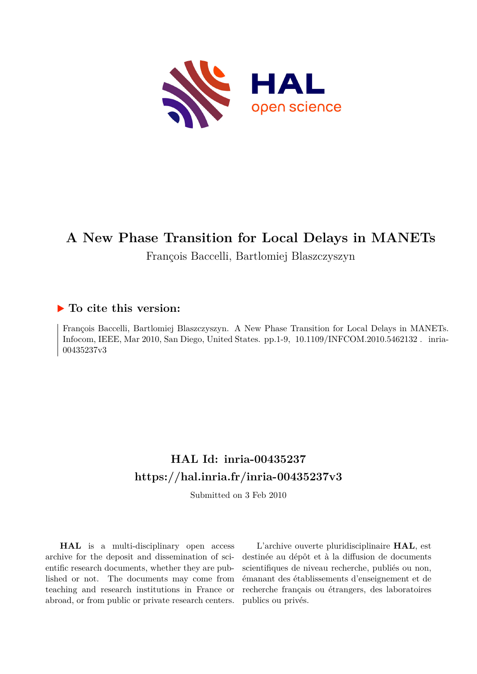

## **A New Phase Transition for Local Delays in MANETs**

François Baccelli, Bartlomiej Blaszczyszyn

### **To cite this version:**

François Baccelli, Bartlomiej Blaszczyszyn. A New Phase Transition for Local Delays in MANETs. Infocom, IEEE, Mar 2010, San Diego, United States. pp.1-9, 10.1109/INFCOM.2010.5462132. inria-00435237v3

## **HAL Id: inria-00435237 <https://hal.inria.fr/inria-00435237v3>**

Submitted on 3 Feb 2010

**HAL** is a multi-disciplinary open access archive for the deposit and dissemination of scientific research documents, whether they are published or not. The documents may come from teaching and research institutions in France or abroad, or from public or private research centers.

L'archive ouverte pluridisciplinaire **HAL**, est destinée au dépôt et à la diffusion de documents scientifiques de niveau recherche, publiés ou non, émanant des établissements d'enseignement et de recherche français ou étrangers, des laboratoires publics ou privés.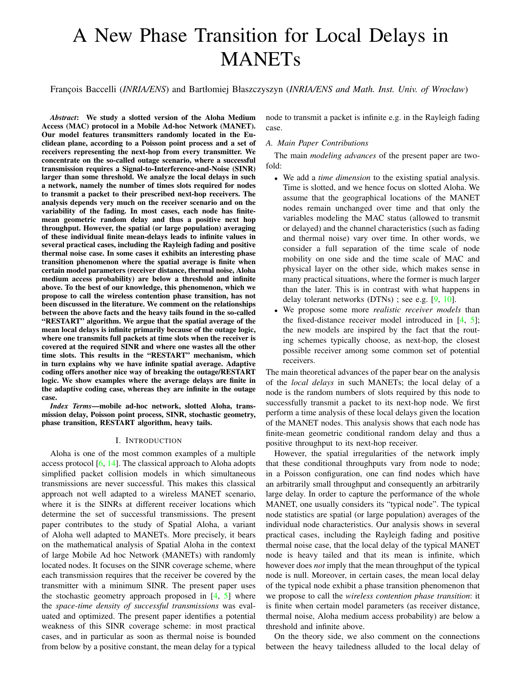# A New Phase Transition for Local Delays in MANETs

François Baccelli (*INRIA/ENS*) and Bartłomiej Błaszczyszyn (*INRIA/ENS and Math. Inst. Univ. of Wrocław*)

*Abstract*: We study a slotted version of the Aloha Medium Access (MAC) protocol in a Mobile Ad-hoc Network (MANET). Our model features transmitters randomly located in the Euclidean plane, according to a Poisson point process and a set of receivers representing the next-hop from every transmitter. We concentrate on the so-called outage scenario, where a successful transmission requires a Signal-to-Interference-and-Noise (SINR) larger than some threshold. We analyze the local delays in such a network, namely the number of times slots required for nodes to transmit a packet to their prescribed next-hop receivers. The analysis depends very much on the receiver scenario and on the variability of the fading. In most cases, each node has finitemean geometric random delay and thus a positive next hop throughput. However, the spatial (or large population) averaging of these individual finite mean-delays leads to infinite values in several practical cases, including the Rayleigh fading and positive thermal noise case. In some cases it exhibits an interesting phase transition phenomenon where the spatial average is finite when certain model parameters (receiver distance, thermal noise, Aloha medium access probability) are below a threshold and infinite above. To the best of our knowledge, this phenomenon, which we propose to call the wireless contention phase transition, has not been discussed in the literature. We comment on the relationships between the above facts and the heavy tails found in the so-called "RESTART" algorithm. We argue that the spatial average of the mean local delays is infinite primarily because of the outage logic, where one transmits full packets at time slots when the receiver is covered at the required SINR and where one wastes all the other time slots. This results in the "RESTART" mechanism, which in turn explains why we have infinite spatial average. Adaptive coding offers another nice way of breaking the outage/RESTART logic. We show examples where the average delays are finite in the adaptive coding case, whereas they are infinite in the outage case.

*Index Terms*—mobile ad-hoc network, slotted Aloha, transmission delay, Poisson point process, SINR, stochastic geometry, phase transition, RESTART algorithm, heavy tails.

#### I. INTRODUCTION

Aloha is one of the most common examples of a multiple access protocol [6, 14]. The classical approach to Aloha adopts simplified packet collision models in which simultaneous transmissions are never successful. This makes this classical approach not well adapted to a wireless MANET scenario, where it is the SINRs at different receiver locations which determine the set of successful transmissions. The present paper contributes to the study of Spatial Aloha, a variant of Aloha well adapted to MANETs. More precisely, it bears on the mathematical analysis of Spatial Aloha in the context of large Mobile Ad hoc Network (MANETs) with randomly located nodes. It focuses on the SINR coverage scheme, where each transmission requires that the receiver be covered by the transmitter with a minimum SINR. The present paper uses the stochastic geometry approach proposed in  $[4, 5]$  where the *space-time density of successful transmissions* was evaluated and optimized. The present paper identifies a potential weakness of this SINR coverage scheme: in most practical cases, and in particular as soon as thermal noise is bounded from below by a positive constant, the mean delay for a typical

node to transmit a packet is infinite e.g. in the Rayleigh fading case.

#### *A. Main Paper Contributions*

The main *modeling advances* of the present paper are twofold:

- We add a *time dimension* to the existing spatial analysis. Time is slotted, and we hence focus on slotted Aloha. We assume that the geographical locations of the MANET nodes remain unchanged over time and that only the variables modeling the MAC status (allowed to transmit or delayed) and the channel characteristics (such as fading and thermal noise) vary over time. In other words, we consider a full separation of the time scale of node mobility on one side and the time scale of MAC and physical layer on the other side, which makes sense in many practical situations, where the former is much larger than the later. This is in contrast with what happens in delay tolerant networks (DTNs) ; see e.g. [9, 10].
- We propose some more *realistic receiver models* than the fixed-distance receiver model introduced in  $[4, 5]$ ; the new models are inspired by the fact that the routing schemes typically choose, as next-hop, the closest possible receiver among some common set of potential receivers.

The main theoretical advances of the paper bear on the analysis of the *local delays* in such MANETs; the local delay of a node is the random numbers of slots required by this node to successfully transmit a packet to its next-hop node. We first perform a time analysis of these local delays given the location of the MANET nodes. This analysis shows that each node has finite-mean geometric conditional random delay and thus a positive throughput to its next-hop receiver.

However, the spatial irregularities of the network imply that these conditional throughputs vary from node to node; in a Poisson configuration, one can find nodes which have an arbitrarily small throughput and consequently an arbitrarily large delay. In order to capture the performance of the whole MANET, one usually considers its "typical node". The typical node statistics are spatial (or large population) averages of the individual node characteristics. Our analysis shows in several practical cases, including the Rayleigh fading and positive thermal noise case, that the local delay of the typical MANET node is heavy tailed and that its mean is infinite, which however does *not* imply that the mean throughput of the typical node is null. Moreover, in certain cases, the mean local delay of the typical node exhibit a phase transition phenomenon that we propose to call the *wireless contention phase transition*: it is finite when certain model parameters (as receiver distance, thermal noise, Aloha medium access probability) are below a threshold and infinite above.

On the theory side, we also comment on the connections between the heavy tailedness alluded to the local delay of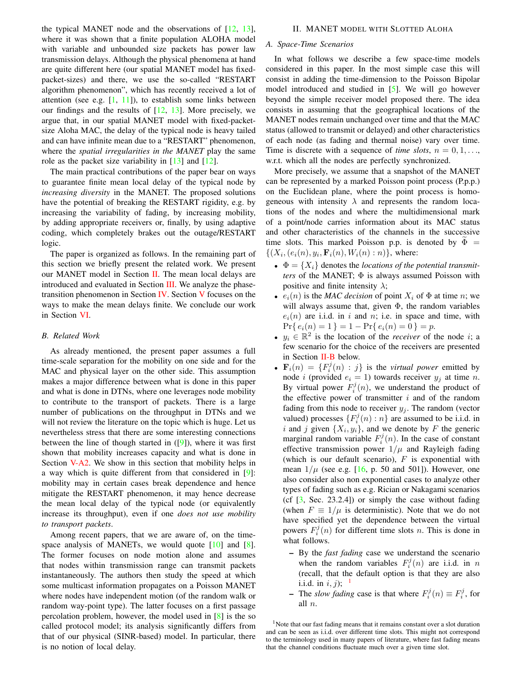the typical MANET node and the observations of [12, 13], where it was shown that a finite population ALOHA model with variable and unbounded size packets has power law transmission delays. Although the physical phenomena at hand are quite different here (our spatial MANET model has fixedpacket-sizes) and there, we use the so-called "RESTART algorithm phenomenon", which has recently received a lot of attention (see e.g.  $[1, 11]$ ), to establish some links between our findings and the results of  $[12, 13]$ . More precisely, we argue that, in our spatial MANET model with fixed-packetsize Aloha MAC, the delay of the typical node is heavy tailed and can have infinite mean due to a "RESTART" phenomenon, where the *spatial irregularities in the MANET* play the same role as the packet size variability in  $[13]$  and  $[12]$ .

The main practical contributions of the paper bear on ways to guarantee finite mean local delay of the typical node by *increasing diversity* in the MANET. The proposed solutions have the potential of breaking the RESTART rigidity, e.g. by increasing the variability of fading, by increasing mobility, by adding appropriate receivers or, finally, by using adaptive coding, which completely brakes out the outage/RESTART logic.

The paper is organized as follows. In the remaining part of this section we briefly present the related work. We present our MANET model in Section II. The mean local delays are introduced and evaluated in Section  $III$ . We analyze the phasetransition phenomenon in Section IV. Section V focuses on the ways to make the mean delays finite. We conclude our work in Section VI.

#### *B. Related Work*

As already mentioned, the present paper assumes a full time-scale separation for the mobility on one side and for the MAC and physical layer on the other side. This assumption makes a major difference between what is done in this paper and what is done in DTNs, where one leverages node mobility to contribute to the transport of packets. There is a large number of publications on the throughput in DTNs and we will not review the literature on the topic which is huge. Let us nevertheless stress that there are some interesting connections between the line of though started in  $([9])$ , where it was first shown that mobility increases capacity and what is done in Section V-A2. We show in this section that mobility helps in a way which is quite different from that considered in [9]: mobility may in certain cases break dependence and hence mitigate the RESTART phenomenon, it may hence decrease the mean local delay of the typical node (or equivalently increase its throughput), even if one *does not use mobility to transport packets*.

Among recent papers, that we are aware of, on the timespace analysis of MANETs, we would quote  $[10]$  and  $[8]$ . The former focuses on node motion alone and assumes that nodes within transmission range can transmit packets instantaneously. The authors then study the speed at which some multicast information propagates on a Poisson MANET where nodes have independent motion (of the random walk or random way-point type). The latter focuses on a first passage percolation problem, however, the model used in [8] is the so called protocol model; its analysis significantly differs from that of our physical (SINR-based) model. In particular, there is no notion of local delay.

#### II. MANET MODEL WITH SLOTTED ALOHA

#### *A. Space-Time Scenarios*

In what follows we describe a few space-time models considered in this paper. In the most simple case this will consist in adding the time-dimension to the Poisson Bipolar model introduced and studied in [5]. We will go however beyond the simple receiver model proposed there. The idea consists in assuming that the geographical locations of the MANET nodes remain unchanged over time and that the MAC status (allowed to transmit or delayed) and other characteristics of each node (as fading and thermal noise) vary over time. Time is discrete with a sequence of *time slots*,  $n = 0, 1, \ldots$ , w.r.t. which all the nodes are perfectly synchronized.

More precisely, we assume that a snapshot of the MANET can be represented by a marked Poisson point process (P.p.p.) on the Euclidean plane, where the point process is homogeneous with intensity  $\lambda$  and represents the random locations of the nodes and where the multidimensional mark of a point/node carries information about its MAC status and other characteristics of the channels in the successive time slots. This marked Poisson p.p. is denoted by  $\Phi =$  $\{(X_i, (e_i(n), y_i, \mathbf{F}_i(n), W_i(n) : n)\},\$  where:

- $\bullet \ \Phi = \{X_i\}$  denotes the *locations of the potential transmitters* of the MANET; Φ is always assumed Poisson with positive and finite intensity  $\lambda$ ;
- $e_i(n)$  is the *MAC decision* of point  $X_i$  of  $\Phi$  at time n; we will always assume that, given Φ, the random variables  $e_i(n)$  are i.i.d. in i and n; i.e. in space and time, with  $Pr{ e_i(n) = 1 } = 1 - Pr{ e_i(n) = 0 } = p.$
- $y_i \in \mathbb{R}^2$  is the location of the *receiver* of the node *i*; a few scenario for the choice of the receivers are presented in Section II-B below.
- $\mathbf{F}_i(n) = \{F_i^j(n) : j\}$  is the *virtual power* emitted by node *i* (provided  $e_i = 1$ ) towards receiver  $y_i$  at time *n*. By virtual power  $F_i^j(n)$ , we understand the product of the effective power of transmitter  $i$  and of the random fading from this node to receiver  $y_i$ . The random (vector valued) processes  $\{F_i^j(n) : n\}$  are assumed to be i.i.d. in i and j given  $\{X_i, y_i\}$ , and we denote by F the generic marginal random variable  $F_i^j(n)$ . In the case of constant effective transmission power  $1/\mu$  and Rayleigh fading (which is our default scenario),  $F$  is exponential with mean  $1/\mu$  (see e.g. [16, p. 50 and 501]). However, one also consider also non exponential cases to analyze other types of fading such as e.g. Rician or Nakagami scenarios (cf  $[3, Sec. 23.2.4]$ ) or simply the case without fading (when  $F \equiv 1/\mu$  is deterministic). Note that we do not have specified yet the dependence between the virtual powers  $F_i^j(n)$  for different time slots n. This is done in what follows.
	- By the *fast fading* case we understand the scenario when the random variables  $F_i^j(n)$  are i.i.d. in n (recall, that the default option is that they are also i.i.d. in  $i, j$ ; <sup>1</sup>
	- The *slow fading* case is that where  $F_i^j(n) \equiv F_i^j$ , for all n.

<sup>&</sup>lt;sup>1</sup>Note that our fast fading means that it remains constant over a slot duration and can be seen as i.i.d. over different time slots. This might not correspond to the terminology used in many papers of literature, where fast fading means that the channel conditions fluctuate much over a given time slot.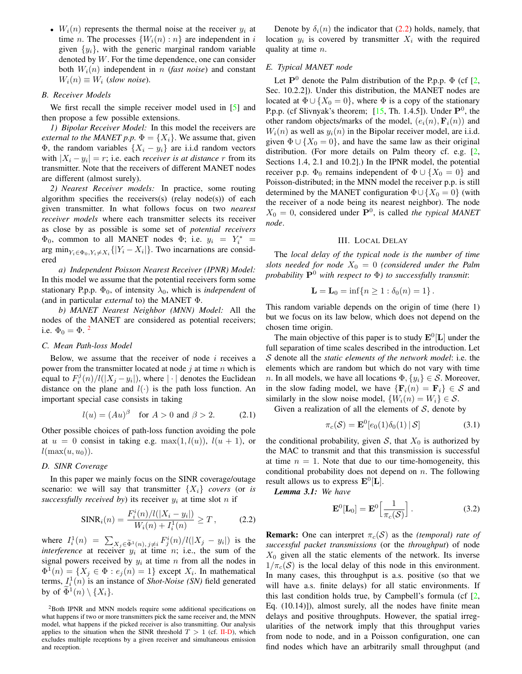•  $W_i(n)$  represents the thermal noise at the receiver  $y_i$  at time *n*. The processes  $\{W_i(n) : n\}$  are independent in i given  $\{y_i\}$ , with the generic marginal random variable denoted by W. For the time dependence, one can consider both  $W_i(n)$  independent in *n* (*fast noise*) and constant  $W_i(n) \equiv W_i$  (*slow noise*).

#### *B. Receiver Models*

We first recall the simple receiver model used in [5] and then propose a few possible extensions.

*1) Bipolar Receiver Model:* In this model the receivers are *external to the MANET p.p.*  $\Phi = \{X_i\}$ . We assume that, given  $Φ$ , the random variables  $\{X_i - y_i\}$  are i.i.d random vectors with  $|X_i - y_i| = r$ ; i.e. each *receiver is at distance* r from its transmitter. Note that the receivers of different MANET nodes are different (almost surely).

*2) Nearest Receiver models:* In practice, some routing algorithm specifies the receivers(s) (relay node(s)) of each given transmitter. In what follows focus on two *nearest receiver models* where each transmitter selects its receiver as close by as possible is some set of *potential receivers*  $\Phi_0$ , common to all MANET nodes  $\Phi$ ; i.e.  $y_i = Y_i^*$  = arg min $Y_{i \in \Phi_0, Y_i \neq X_i} \{ |Y_i - X_i| \}$ . Two incarnations are considered

*a) Independent Poisson Nearest Receiver (IPNR) Model:* In this model we assume that the potential receivers form some stationary P.p.p.  $\Phi_0$ , of intensity  $\lambda_0$ , which is *independent* of (and in particular *external* to) the MANET Φ.

*b) MANET Nearest Neighbor (MNN) Model:* All the nodes of the MANET are considered as potential receivers; i.e.  $\Phi_0 = \Phi$ .<sup>2</sup>

#### *C. Mean Path-loss Model*

Below, we assume that the receiver of node  $i$  receives a power from the transmitter located at node  $j$  at time  $n$  which is equal to  $F_i^j(n)/l(|X_j - y_i|)$ , where  $|\cdot|$  denotes the Euclidean distance on the plane and  $l(\cdot)$  is the path loss function. An important special case consists in taking

$$
l(u) = (Au)^{\beta} \quad \text{for } A > 0 \text{ and } \beta > 2. \tag{2.1}
$$

Other possible choices of path-loss function avoiding the pole at  $u = 0$  consist in taking e.g.  $\max(1, l(u))$ ,  $l(u + 1)$ , or  $l(\max(u, u_0)).$ 

#### *D. SINR Coverage*

In this paper we mainly focus on the SINR coverage/outage scenario: we will say that transmitter  $\{X_i\}$  *covers* (or *is successfully received by*) its receiver  $y_i$  at time slot n if

$$
\text{SINR}_{i}(n) = \frac{F_{i}^{i}(n)/l(|X_{i} - y_{i}|)}{W_{i}(n) + I_{i}^{1}(n)} \geq T, \qquad (2.2)
$$

where  $I_i^1(n) = \sum_{X_j \in \tilde{\Phi}^1(n), j \neq i} F_j^i(n)/l(|X_j - y_i|)$  is the *interference* at receiver  $y_i$  at time *n*; i.e., the sum of the signal powers received by  $y_i$  at time n from all the nodes in  $\Phi^1(n) = \{X_j \in \Phi : e_j(n) = 1\}$  except  $X_i$ . In mathematical terms,  $I_i^1(n)$  is an instance of *Shot-Noise (SN)* field generated by of  $\widetilde{\Phi}^1(n) \setminus \{X_i\}.$ 

Denote by  $\delta_i(n)$  the indicator that (2.2) holds, namely, that location  $y_i$  is covered by transmitter  $X_i$  with the required quality at time n.

#### *E. Typical MANET node*

Let  $\mathbf{P}^0$  denote the Palm distribution of the P.p.p.  $\Phi$  (cf [2, Sec. 10.2.2]). Under this distribution, the MANET nodes are located at  $\Phi \cup \{X_0 = 0\}$ , where  $\Phi$  is a copy of the stationary P.p.p. (cf Slivnyak's theorem;  $[15, Th. 1.4.5]$ ). Under  $\mathbf{P}^0$ , the other random objects/marks of the model,  $(e_i(n), \mathbf{F}_i(n))$  and  $W_i(n)$  as well as  $y_i(n)$  in the Bipolar receiver model, are i.i.d. given  $\Phi \cup \{X_0 = 0\}$ , and have the same law as their original distribution. (For more details on Palm theory cf. e.g. [2, Sections 1.4, 2.1 and 10.2].) In the IPNR model, the potential receiver p.p.  $\Phi_0$  remains independent of  $\Phi \cup \{X_0 = 0\}$  and Poisson-distributed; in the MNN model the receiver p.p. is still determined by the MANET configuration  $\Phi \cup \{X_0 = 0\}$  (with the receiver of a node being its nearest neighbor). The node  $X_0 = 0$ , considered under  $\mathbf{P}^0$ , is called *the typical MANET node*.

#### III. LOCAL DELAY

The *local delay of the typical node is the number of time slots needed for node*  $X_0 = 0$  *(considered under the Palm probability* P<sup>0</sup> *with respect to* Φ*) to successfully transmit*:

$$
L = L0 = inf{n \ge 1 : \delta_0(n) = 1}.
$$

This random variable depends on the origin of time (here 1) but we focus on its law below, which does not depend on the chosen time origin.

The main objective of this paper is to study  $E^0[L]$  under the full separation of time scales described in the introduction. Let S denote all the *static elements of the network model*: i.e. the elements which are random but which do not vary with time *n*. In all models, we have all locations  $\Phi$ ,  $\{y_i\} \in S$ . Moreover, in the slow fading model, we have  $\{F_i(n) = F_i\} \in S$  and similarly in the slow noise model,  $\{W_i(n) = W_i\} \in S$ .

Given a realization of all the elements of  $S$ , denote by

$$
\pi_c(\mathcal{S}) = \mathbf{E}^0[e_0(1)\delta_0(1) | \mathcal{S}] \tag{3.1}
$$

the conditional probability, given  $S$ , that  $X_0$  is authorized by the MAC to transmit and that this transmission is successful at time  $n = 1$ . Note that due to our time-homogeneity, this conditional probability does not depend on  $n$ . The following result allows us to express  $\mathbf{E}^0[\mathbf{L}]$ .

*Lemma 3.1: We have*

$$
\mathbf{E}^0[\mathbf{L}_0] = \mathbf{E}^0\left[\frac{1}{\pi_c(\mathcal{S})}\right].
$$
 (3.2)

**Remark:** One can interpret  $\pi_c(\mathcal{S})$  as the *(temporal) rate of successful packet transmissions* (or the *throughput*) of node  $X_0$  given all the static elements of the network. Its inverse  $1/\pi_c(\mathcal{S})$  is the local delay of this node in this environment. In many cases, this throughput is a.s. positive (so that we will have a.s. finite delays) for all static environments. If this last condition holds true, by Campbell's formula (cf  $[2, 1]$ Eq. (10.14)]), almost surely, all the nodes have finite mean delays and positive throughputs. However, the spatial irregularities of the network imply that this throughput varies from node to node, and in a Poisson configuration, one can find nodes which have an arbitrarily small throughput (and

<sup>2</sup>Both IPNR and MNN models require some additional specifications on what happens if two or more transmitters pick the same receiver and, the MNN model, what happens if the picked receiver is also transmitting. Our analysis applies to the situation when the SINR threshold  $T > 1$  (cf. II-D), which excludes multiple receptions by a given receiver and simultaneous emission and reception.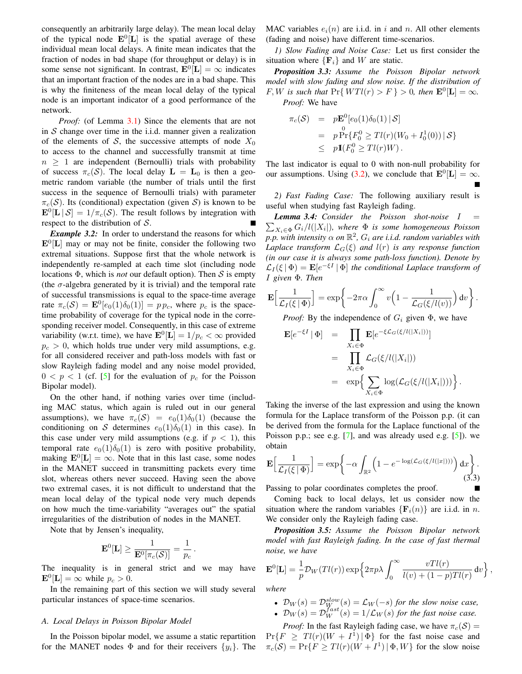consequently an arbitrarily large delay). The mean local delay of the typical node  $\mathbf{E}^0[\mathbf{L}]$  is the spatial average of these individual mean local delays. A finite mean indicates that the fraction of nodes in bad shape (for throughput or delay) is in some sense not significant. In contrast,  $\mathbf{E}^0[\mathbf{L}] = \infty$  indicates that an important fraction of the nodes are in a bad shape. This is why the finiteness of the mean local delay of the typical node is an important indicator of a good performance of the network.

*Proof:* (of Lemma 3.1) Since the elements that are not in  $S$  change over time in the i.i.d. manner given a realization of the elements of S, the successive attempts of node  $X_0$ to access to the channel and successfully transmit at time  $n \geq 1$  are independent (Bernoulli) trials with probability of success  $\pi_c(\mathcal{S})$ . The local delay  $\mathbf{L} = \mathbf{L}_0$  is then a geometric random variable (the number of trials until the first success in the sequence of Bernoulli trials) with parameter  $\pi_c(\mathcal{S})$ . Its (conditional) expectation (given S) is known to be  $\mathbf{E}^0[\mathbf{L} \,|\, \mathcal{S}] = 1/\pi_c(\mathcal{S})$ . The result follows by integration with respect to the distribution of  $S$ .

*Example 3.2:* In order to understand the reasons for which  $E^0[L]$  may or may not be finite, consider the following two extremal situations. Suppose first that the whole network is independently re-sampled at each time slot (including node locations Φ, which is *not* our default option). Then S is empty (the  $\sigma$ -algebra generated by it is trivial) and the temporal rate of successful transmissions is equal to the space-time average rate  $\pi_c(\mathcal{S}) = \mathbf{E}^0[e_0(1)\delta_0(1)] = p p_c$ , where  $p_c$  is the spacetime probability of coverage for the typical node in the corresponding receiver model. Consequently, in this case of extreme variability (w.r.t. time), we have  $\mathbf{E}^0[\mathbf{L}] = 1/p_c < \infty$  provided  $p_c > 0$ , which holds true under very mild assumptions, e.g. for all considered receiver and path-loss models with fast or slow Rayleigh fading model and any noise model provided,  $0 < p < 1$  (cf. [5] for the evaluation of  $p_c$  for the Poisson Bipolar model).

On the other hand, if nothing varies over time (including MAC status, which again is ruled out in our general assumptions), we have  $\pi_c(\mathcal{S}) = e_0(1)\delta_0(1)$  (because the conditioning on S determines  $e_0(1)\delta_0(1)$  in this case). In this case under very mild assumptions (e.g. if  $p < 1$ ), this temporal rate  $e_0(1)\delta_0(1)$  is zero with positive probability, making  $\mathbf{E}^0[\mathbf{L}] = \infty$ . Note that in this last case, some nodes in the MANET succeed in transmitting packets every time slot, whereas others never succeed. Having seen the above two extremal cases, it is not difficult to understand that the mean local delay of the typical node very much depends on how much the time-variability "averages out" the spatial irregularities of the distribution of nodes in the MANET.

Note that by Jensen's inequality,

$$
\mathbf{E}^0[\mathbf{L}] \geq \frac{1}{\mathbf{E}^0[\pi_c(\mathcal{S})]} = \frac{1}{p_c}.
$$

The inequality is in general strict and we may have  $\mathbf{E}^0[\mathbf{L}] = \infty$  while  $p_c > 0$ .

In the remaining part of this section we will study several particular instances of space-time scenarios.

#### *A. Local Delays in Poisson Bipolar Model*

In the Poisson bipolar model, we assume a static repartition for the MANET nodes  $\Phi$  and for their receivers  $\{y_i\}$ . The MAC variables  $e_i(n)$  are i.i.d. in i and n. All other elements (fading and noise) have different time-scenarios.

*1) Slow Fading and Noise Case:* Let us first consider the situation where  $\{F_i\}$  and W are static.

*Proposition 3.3: Assume the Poisson Bipolar network model with slow fading and slow noise. If the distribution of*  $F, W$  is such that  $\Pr\{WTl(r) > F\} > 0$ , then  $\mathbf{E}^{0}[\mathbf{L}] = \infty$ . *Proof:* We have

$$
\pi_c(S) = p\mathbf{E}^0[e_0(1)\delta_0(1) | S] \n= p \Pr\{F_0^0 \ge Tl(r)(W_0 + I_0^1(0)) | S\} \n\le p\mathbf{I}(F_0^0 \ge Tl(r)W).
$$

The last indicator is equal to 0 with non-null probability for our assumptions. Using (3.2), we conclude that  $\mathbf{E}^0[\mathbf{L}] = \infty$ .

*2) Fast Fading Case:* The following auxiliary result is useful when studying fast Rayleigh fading.

 $\sum_{X_i \in \Phi} G_i / l(|X_i|)$ , where  $\Phi$  is some homogeneous Poisson **Lemma 3.4:** Consider the Poisson shot-noise  $I =$  $\overline{p}$ ,  $\overline{p}$ , with intensity  $\alpha$  on  $\mathbb{R}^2$ ,  $G_i$  are *i.i.d.* random variables with *Laplace transform*  $\mathcal{L}_G(\xi)$  *and*  $l(r)$  *is any response function (in our case it is always some path-loss function). Denote by*  $\mathcal{L}_I(\xi | \Phi) = \mathbf{E} [e^{-\xi I} | \Phi]$  the conditional Laplace transform of I *given* Φ*. Then*

$$
\mathbf{E}\Big[\frac{1}{\mathcal{L}_I(\xi \mid \Phi)}\Big] = \exp\bigg\{-2\pi\alpha \int_0^\infty v\Big(1 - \frac{1}{\mathcal{L}_G(\xi / l(v))}\Big) dv\bigg\}.
$$

*Proof:* By the independence of  $G_i$  given  $\Phi$ , we have

$$
\mathbf{E}[e^{-\xi I} | \Phi] = \prod_{X_i \in \Phi} \mathbf{E}[e^{-\xi \mathcal{L}_G(\xi/l(|X_i|))}]
$$
  
\n
$$
= \prod_{X_i \in \Phi} \mathcal{L}_G(\xi/l(|X_i|))
$$
  
\n
$$
= \exp \Biggl\{ \sum_{X_i \in \Phi} \log(\mathcal{L}_G(\xi/l(|X_i|))) \Biggr\}.
$$

Taking the inverse of the last expression and using the known formula for the Laplace transform of the Poisson p.p. (it can be derived from the formula for the Laplace functional of the Poisson p.p.; see e.g. [7], and was already used e.g. [5]). we obtain

$$
\mathbf{E}\Big[\frac{1}{\mathcal{L}_I(\xi|\Phi)}\Big] = \exp\bigg\{-\alpha \int_{\mathbb{R}^2} \Big(1 - e^{-\log(\mathcal{L}_G(\xi/l(|x|)))}\Big) dx\bigg\}.
$$
\n(3.3)

Passing to polar coordinates completes the proof.

Coming back to local delays, let us consider now the situation where the random variables  $\{F_i(n)\}\$ are i.i.d. in n. We consider only the Rayleigh fading case.

*Proposition 3.5: Assume the Poisson Bipolar network model with fast Rayleigh fading. In the case of fast thermal noise, we have*

$$
\mathbf{E}^{0}[\mathbf{L}] = \frac{1}{p} \mathcal{D}_{W}(T l(r)) \exp \left\{ 2\pi p \lambda \int_{0}^{\infty} \frac{v T l(r)}{l(v) + (1-p) T l(r)} dv \right\},\,
$$

*where*

- $\mathcal{D}_W(s) = \mathcal{D}_W^{slow}(s) = \mathcal{L}_W(-s)$  for the slow noise case,
- $\mathcal{D}_W(s) = \mathcal{D}_W^{fast}(s) = 1/\mathcal{L}_W(s)$  for the fast noise case.

*Proof:* In the fast Rayleigh fading case, we have  $\pi_c(\mathcal{S}) =$  $Pr{F \geq Tl(r)(W + I^1) | \Phi}$  for the fast noise case and  $\pi_c(\mathcal{S}) = \Pr\{F \geq Tl(r)(W + I^1) | \Phi, W\}$  for the slow noise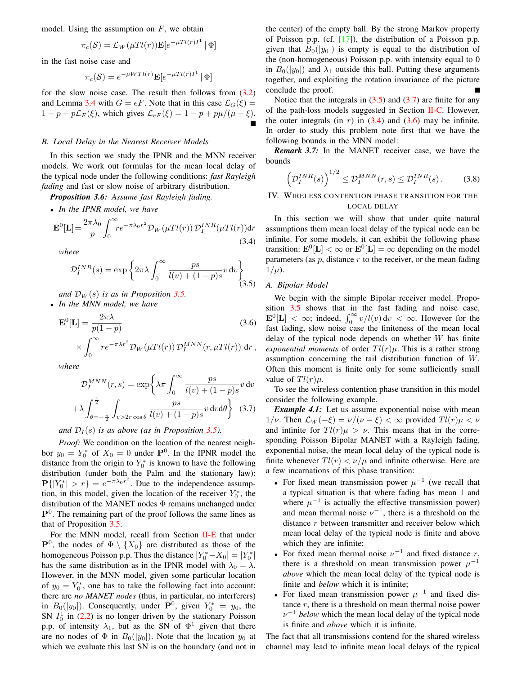model. Using the assumption on  $F$ , we obtain

$$
\pi_c(\mathcal{S}) = \mathcal{L}_W(\mu T l(r)) \mathbf{E} [e^{-\mu T l(r) I^1} | \Phi]
$$

in the fast noise case and

$$
\pi_c(\mathcal{S}) = e^{-\mu WT l(r)} \mathbf{E} [e^{-\mu T l(r)I^1} | \Phi]
$$

for the slow noise case. The result then follows from  $(3.2)$ and Lemma 3.4 with  $G = eF$ . Note that in this case  $\mathcal{L}_G(\xi) =$  $1 - p + p\mathcal{L}_F(\xi)$ , which gives  $\mathcal{L}_{eF}(\xi) = 1 - p + p\mu/(\mu + \xi)$ .

#### *B. Local Delay in the Nearest Receiver Models*

In this section we study the IPNR and the MNN receiver models. We work out formulas for the mean local delay of the typical node under the following conditions: *fast Rayleigh fading* and fast or slow noise of arbitrary distribution.

*Proposition 3.6: Assume fast Rayleigh fading.*

• *In the IPNR model, we have*

$$
\mathbf{E}^{0}[\mathbf{L}] = \frac{2\pi\lambda_{0}}{p} \int_{0}^{\infty} r e^{-\pi\lambda_{0}r^{2}} \mathcal{D}_{W}(\mu T l(r)) \mathcal{D}_{I}^{INR}(\mu T l(r)) dr
$$
\n(3.4)

*where*

$$
\mathcal{D}_I^{INR}(s) = \exp\left\{2\pi\lambda \int_0^\infty \frac{ps}{l(v) + (1-p)s} v \,dv\right\}
$$
(3.5)

*and*  $\mathcal{D}_W(s)$  *is as in Proposition 3.5.* 

• *In the MNN model, we have*

$$
\mathbf{E}^{0}[\mathbf{L}] = \frac{2\pi\lambda}{p(1-p)}
$$
(3.6)  

$$
\times \int_{0}^{\infty} re^{-\pi\lambda r^{2}} \mathcal{D}_{W}(\mu T l(r)) \mathcal{D}_{I}^{MNN}(r, \mu T l(r)) dr,
$$

*where*

$$
\mathcal{D}_I^{MNN}(r,s) = \exp\left\{\lambda \pi \int_0^\infty \frac{ps}{l(v) + (1-p)s} v \,dv\right\}
$$

$$
+ \lambda \int_{\theta=-\frac{\pi}{2}}^{\frac{\pi}{2}} \int_{v>2r\cos\theta} \frac{ps}{l(v) + (1-p)s} v \,dv d\theta \right\} \tag{3.7}
$$

*and*  $\mathcal{D}_I(s)$  *is as above (as in Proposition 3.5).* 

*Proof:* We condition on the location of the nearest neighbor  $y_0 = Y_0^*$  of  $X_0 = 0$  under  $\mathbf{P}^0$ . In the IPNR model the distance from the origin to  $Y_0^*$  is known to have the following distribution (under both the Palm and the stationary law):  $\mathbf{P}\{|Y_0^*| > r\} = e^{-\pi \lambda_0 r^2}$ . Due to the independence assumption, in this model, given the location of the receiver  $Y_0^*$ , the distribution of the MANET nodes Φ remains unchanged under  $\mathbf{P}^0$ . The remaining part of the proof follows the same lines as that of Proposition 3.5.

For the MNN model, recall from Section II-E that under  $\mathbf{P}^0$ , the nodes of  $\Phi \setminus \{X_0\}$  are distributed as those of the homogeneous Poisson p.p. Thus the distance  $|Y_0^* - X_0| = |Y_0^*|$ has the same distribution as in the IPNR model with  $\lambda_0 = \lambda$ . However, in the MNN model, given some particular location of  $y_0 = Y_0^*$ , one has to take the following fact into account: there are *no MANET nodes* (thus, in particular, no interferers) in  $B_0(|y_0|)$ . Consequently, under  $\mathbf{P}^0$ , given  $Y_0^* = y_0$ , the SN  $I_0^1$  in (2.2) is no longer driven by the stationary Poisson p.p. of intensity  $\lambda_1$ , but as the SN of  $\Phi^1$  given that there are no nodes of  $\Phi$  in  $B_0(|y_0|)$ . Note that the location  $y_0$  at which we evaluate this last SN is on the boundary (and not in the center) of the empty ball. By the strong Markov property of Poisson p.p. (cf.  $[17]$ ), the distribution of a Poisson p.p. given that  $B_0(|y_0|)$  is empty is equal to the distribution of the (non-homogeneous) Poisson p.p. with intensity equal to 0 in  $B_0(|y_0|)$  and  $\lambda_1$  outside this ball. Putting these arguments together, and exploiting the rotation invariance of the picture conclude the proof.

Notice that the integrals in  $(3.5)$  and  $(3.7)$  are finite for any of the path-loss models suggested in Section II-C. However, the outer integrals (in  $r$ ) in (3.4) and (3.6) may be infinite. In order to study this problem note first that we have the following bounds in the MNN model:

*Remark 3.7:* In the MANET receiver case, we have the bounds

$$
\left(\mathcal{D}_I^{INR}(s)\right)^{1/2} \leq \mathcal{D}_I^{MNN}(r,s) \leq \mathcal{D}_I^{INR}(s).
$$
 (3.8)

#### IV. WIRELESS CONTENTION PHASE TRANSITION FOR THE LOCAL DELAY

In this section we will show that under quite natural assumptions them mean local delay of the typical node can be infinite. For some models, it can exhibit the following phase transition:  $\mathbf{E}^0[\mathbf{L}] < \infty$  or  $\mathbf{E}^0[\mathbf{L}] = \infty$  depending on the model parameters (as  $p$ , distance  $r$  to the receiver, or the mean fading  $1/\mu$ ).

#### *A. Bipolar Model*

We begin with the simple Bipolar receiver model. Proposition 3.5 shows that in the fast fading and noise case,  $\mathbf{E}^0[\mathbf{L}] < \infty$ ; indeed,  $\int_0^\infty v/l(v) dv < \infty$ . However for the fast fading, slow noise case the finiteness of the mean local delay of the typical node depends on whether  $W$  has finite *exponential moments* of order  $T l(r) \mu$ . This is a rather strong assumption concerning the tail distribution function of W. Often this moment is finite only for some sufficiently small value of  $T l(r) \mu$ .

To see the wireless contention phase transition in this model consider the following example.

*Example 4.1:* Let us assume exponential noise with mean  $1/\nu$ . Then  $\mathcal{L}_W(-\xi) = \nu/(\nu - \xi) < \infty$  provided  $T l(r) \mu < \nu$ and infinite for  $T l(r) \mu > \nu$ . This means that in the corresponding Poisson Bipolar MANET with a Rayleigh fading, exponential noise, the mean local delay of the typical node is finite whenever  $Tl(r) < \nu/\mu$  and infinite otherwise. Here are a few incarnations of this phase transition:

- For fixed mean transmission power  $\mu^{-1}$  (we recall that a typical situation is that where fading has mean 1 and where  $\mu^{-1}$  is actually the effective transmission power) and mean thermal noise  $\nu^{-1}$ , there is a threshold on the distance r between transmitter and receiver below which mean local delay of the typical node is finite and above which they are infinite;
- For fixed mean thermal noise  $\nu^{-1}$  and fixed distance r, there is a threshold on mean transmission power  $\mu^{-1}$ *above* which the mean local delay of the typical node is finite and *below* which it is infinite;
- For fixed mean transmission power  $\mu^{-1}$  and fixed distance  $r$ , there is a threshold on mean thermal noise power  $\nu^{-1}$  *below* which the mean local delay of the typical node is finite and *above* which it is infinite.

The fact that all transmissions contend for the shared wireless channel may lead to infinite mean local delays of the typical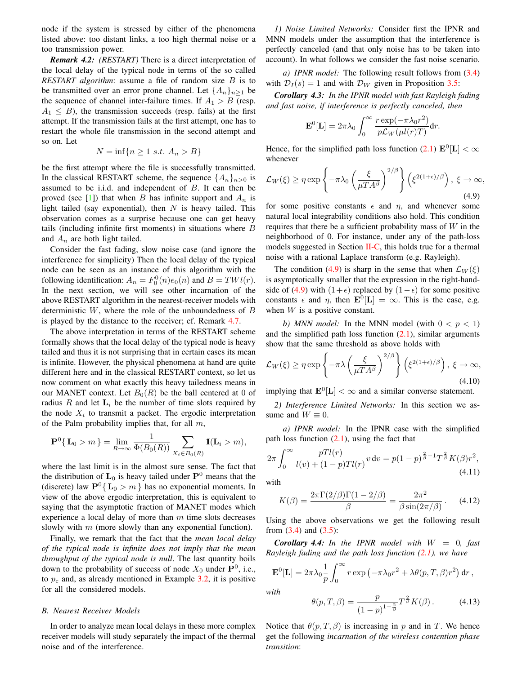node if the system is stressed by either of the phenomena listed above: too distant links, a too high thermal noise or a too transmission power.

*Remark 4.2: (RESTART)* There is a direct interpretation of the local delay of the typical node in terms of the so called *RESTART algorithm*: assume a file of random size B is to be transmitted over an error prone channel. Let  $\{A_n\}_{n>1}$  be the sequence of channel inter-failure times. If  $A_1 > B$  (resp.  $A_1 \leq B$ ), the transmission succeeds (resp. fails) at the first attempt. If the transmission fails at the first attempt, one has to restart the whole file transmission in the second attempt and so on. Let

$$
N = \inf\{n \ge 1 \text{ s.t. } A_n > B\}
$$

be the first attempt where the file is successfully transmitted. In the classical RESTART scheme, the sequence  $\{A_n\}_{n>0}$  is assumed to be i.i.d. and independent of  $B$ . It can then be proved (see [1]) that when B has infinite support and  $A_n$  is light tailed (say exponential), then  $N$  is heavy tailed. This observation comes as a surprise because one can get heavy tails (including infinite first moments) in situations where  $B$ and  $A_n$  are both light tailed.

Consider the fast fading, slow noise case (and ignore the interference for simplicity) Then the local delay of the typical node can be seen as an instance of this algorithm with the following identification:  $A_n = F_0^0(n)e_0(n)$  and  $B = TWl(r)$ . In the next section, we will see other incarnation of the above RESTART algorithm in the nearest-receiver models with deterministic  $W$ , where the role of the unboundedness of  $B$ is played by the distance to the receiver; cf. Remark 4.7.

The above interpretation in terms of the RESTART scheme formally shows that the local delay of the typical node is heavy tailed and thus it is not surprising that in certain cases its mean is infinite. However, the physical phenomena at hand are quite different here and in the classical RESTART context, so let us now comment on what exactly this heavy tailedness means in our MANET context. Let  $B_0(R)$  be the ball centered at 0 of radius R and let  $L_i$  be the number of time slots required by the node  $X_i$  to transmit a packet. The ergodic interpretation of the Palm probability implies that, for all  $m$ ,

$$
\mathbf{P}^0\{\mathbf{L}_0 > m\} = \lim_{R \to \infty} \frac{1}{\Phi(B_0(R))} \sum_{X_i \in B_0(R)} \mathbf{I}(\mathbf{L}_i > m),
$$

where the last limit is in the almost sure sense. The fact that the distribution of  $L_0$  is heavy tailed under  $P^0$  means that the (discrete) law  $\mathbf{P}^0$ { $\mathbf{L}_0 > m$ } has no exponential moments. In view of the above ergodic interpretation, this is equivalent to saying that the asymptotic fraction of MANET modes which experience a local delay of more than  $m$  time slots decreases slowly with  $m$  (more slowly than any exponential function).

Finally, we remark that the fact that the *mean local delay of the typical node is infinite does not imply that the mean throughput of the typical node is null*. The last quantity boils down to the probability of success of node  $X_0$  under  $\mathbf{P}^0$ , i.e., to  $p_c$  and, as already mentioned in Example 3.2, it is positive for all the considered models.

#### *B. Nearest Receiver Models*

In order to analyze mean local delays in these more complex receiver models will study separately the impact of the thermal noise and of the interference.

*1) Noise Limited Networks:* Consider first the IPNR and MNN models under the assumption that the interference is perfectly canceled (and that only noise has to be taken into account). In what follows we consider the fast noise scenario.

*a) IPNR model:* The following result follows from (3.4) with  $\mathcal{D}_I(s) = 1$  and with  $\mathcal{D}_W$  given in Proposition 3.5:

*Corollary 4.3: In the IPNR model with fast Rayleigh fading and fast noise, if interference is perfectly canceled, then*

$$
\mathbf{E}^{0}[\mathbf{L}] = 2\pi\lambda_0 \int_0^\infty \frac{r \exp(-\pi\lambda_0 r^2)}{p\mathcal{L}_W(\mu l(r)T)} dr.
$$

Hence, for the simplified path loss function (2.1)  $\mathbf{E}^0[\mathbf{L}] < \infty$ whenever

$$
\mathcal{L}_W(\xi) \ge \eta \exp\left\{-\pi\lambda_0 \left(\frac{\xi}{\mu T A^{\beta}}\right)^{2/\beta}\right\} \left(\xi^{2(1+\epsilon)/\beta}\right), \xi \to \infty,
$$
\n(4.9)

for some positive constants  $\epsilon$  and  $\eta$ , and whenever some natural local integrability conditions also hold. This condition requires that there be a sufficient probability mass of  $W$  in the neighborhood of 0. For instance, under any of the path-loss models suggested in Section  $II-C$ , this holds true for a thermal noise with a rational Laplace transform (e.g. Rayleigh).

The condition (4.9) is sharp in the sense that when  $\mathcal{L}_W(\xi)$ is asymptotically smaller that the expression in the right-handside of (4.9) with  $(1+\epsilon)$  replaced by  $(1-\epsilon)$  for some positive constants  $\epsilon$  and  $\eta$ , then  $\mathbf{E}^0[\mathbf{L}] = \infty$ . This is the case, e.g. when  $W$  is a positive constant.

*b)* MNN model: In the MNN model (with  $0 < p < 1$ ) and the simplified path loss function  $(2.1)$ , similar arguments show that the same threshold as above holds with

$$
\mathcal{L}_W(\xi) \ge \eta \exp\left\{-\pi\lambda \left(\frac{\xi}{\mu T A^{\beta}}\right)^{2/\beta}\right\} \left(\xi^{2(1+\epsilon)/\beta}\right), \ \xi \to \infty,
$$
\n(4.10)

implying that  $\mathbf{E}^0[\mathbf{L}] < \infty$  and a similar converse statement.

*2) Interference Limited Networks:* In this section we assume and  $W \equiv 0$ .

*a) IPNR model:* In the IPNR case with the simplified path loss function  $(2.1)$ , using the fact that

$$
2\pi \int_0^\infty \frac{pT l(r)}{l(v) + (1-p)T l(r)} v \, dv = p(1-p)^{\frac{2}{\beta}-1} T^{\frac{2}{\beta}} K(\beta) r^2,
$$
\n(4.11)

with

$$
K(\beta) = \frac{2\pi\Gamma(2/\beta)\Gamma(1 - 2/\beta)}{\beta} = \frac{2\pi^2}{\beta\sin(2\pi/\beta)}.
$$
 (4.12)

Using the above observations we get the following result from  $(3.4)$  and  $(3.5)$ :

*Corollary 4.4:* In the IPNR model with  $W = 0$ , fast *Rayleigh fading and the path loss function (2.1), we have*

$$
\mathbf{E}^{0}[\mathbf{L}] = 2\pi\lambda_0 \frac{1}{p} \int_0^{\infty} r \exp\left(-\pi\lambda_0 r^2 + \lambda\theta(p, T, \beta)r^2\right) dr,
$$
  
with  

$$
\theta(p, T, \beta) = \frac{p}{\sqrt{p^2 + 2\rho^2}} T^{\frac{2}{\rho}} K(\beta).
$$
 (4.13)

 $\mathbf{v}$ 

$$
\theta(p,T,\beta) = \frac{p}{(1-p)^{1-\frac{2}{\beta}}} T^{\frac{2}{\beta}} K(\beta).
$$
 (4.13)

Notice that  $\theta(p, T, \beta)$  is increasing in p and in T. We hence get the following *incarnation of the wireless contention phase transition*: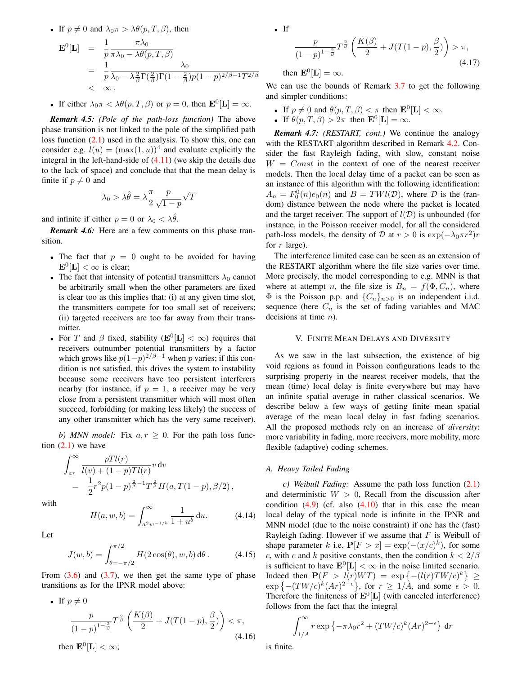• If  $p \neq 0$  and  $\lambda_0 \pi > \lambda \theta(p, T, \beta)$ , then

$$
\mathbf{E}^{0}[\mathbf{L}] = \frac{1}{p} \frac{\pi \lambda_{0}}{\pi \lambda_{0} - \lambda \theta(p, T, \beta)}
$$
  
= 
$$
\frac{1}{p} \frac{\lambda_{0}}{\lambda_{0} - \lambda \frac{2}{\beta} \Gamma(\frac{2}{\beta}) \Gamma(1 - \frac{2}{\beta}) p (1 - p)^{2/\beta - 1} T^{2/\beta}}
$$
  
< 
$$
\infty.
$$

• If either  $\lambda_0 \pi < \lambda \theta(p, T, \beta)$  or  $p = 0$ , then  $\mathbf{E}^0[\mathbf{L}] = \infty$ .

*Remark 4.5: (Pole of the path-loss function)* The above phase transition is not linked to the pole of the simplified path loss function  $(2.1)$  used in the analysis. To show this, one can consider e.g.  $l(u) = (\max(1, u))^4$  and evaluate explicitly the integral in the left-hand-side of (4.11) (we skip the details due to the lack of space) and conclude that that the mean delay is finite if  $p \neq 0$  and

$$
\lambda_0 > \lambda \hat{\theta} = \lambda \frac{\pi}{2} \frac{p}{\sqrt{1-p}} \sqrt{T}
$$

and infinite if either  $p = 0$  or  $\lambda_0 < \lambda \hat{\theta}$ .

*Remark 4.6:* Here are a few comments on this phase transition.

- The fact that  $p = 0$  ought to be avoided for having  $\mathbf{E}^0[\mathbf{L}] < \infty$  is clear;
- The fact that intensity of potential transmitters  $\lambda_0$  cannot be arbitrarily small when the other parameters are fixed is clear too as this implies that: (i) at any given time slot, the transmitters compete for too small set of receivers; (ii) targeted receivers are too far away from their transmitter.
- For T and  $\beta$  fixed, stability ( $\mathbf{E}^0[\mathbf{L}] < \infty$ ) requires that receivers outnumber potential transmitters by a factor which grows like  $p(1-p)^{2/\beta-1}$  when p varies; if this condition is not satisfied, this drives the system to instability because some receivers have too persistent interferers nearby (for instance, if  $p = 1$ , a receiver may be very close from a persistent transmitter which will most often succeed, forbidding (or making less likely) the success of any other transmitter which has the very same receiver).

*b)* MNN model: Fix  $a, r \geq 0$ . For the path loss function  $(2.1)$  we have

$$
\int_{ar}^{\infty} \frac{pTl(r)}{l(v) + (1-p)Tl(r)} v \, dv
$$
  
= 
$$
\frac{1}{2}r^2 p(1-p)^{\frac{2}{\beta}-1} T^{\frac{2}{\beta}} H(a, T(1-p), \beta/2),
$$

with

Let

$$
H(a, w, b) = \int_{a^2 w^{-1/b}}^{\infty} \frac{1}{1 + u^b} \, du. \tag{4.14}
$$

$$
J(w, b) = \int_{\theta = -\pi/2}^{\pi/2} H(2\cos(\theta), w, b) d\theta.
$$
 (4.15)

From  $(3.6)$  and  $(3.7)$ , we then get the same type of phase transitions as for the IPNR model above:

• If 
$$
p \neq 0
$$
  
\n
$$
\frac{p}{(1-p)^{1-\frac{2}{\beta}}}T^{\frac{2}{\beta}}\left(\frac{K(\beta)}{2} + J(T(1-p), \frac{\beta}{2})\right) < \pi,
$$
\nthen  $\mathbf{E}^{0}[\mathbf{L}] < \infty$ ; (4.16)

• If

$$
\frac{p}{(1-p)^{1-\frac{2}{\beta}}}T^{\frac{2}{\beta}}\left(\frac{K(\beta)}{2} + J(T(1-p), \frac{\beta}{2})\right) > \pi,
$$
\n(4.17)

then  $\mathbf{E}^0[\mathbf{L}] = \infty$ .

We can use the bounds of Remark 3.7 to get the following and simpler conditions:

- If  $p \neq 0$  and  $\theta(p, T, \beta) < \pi$  then  $\mathbf{E}^0[\mathbf{L}] < \infty$ .
- If  $\theta(p, T, \beta) > 2\pi$  then  $\mathbf{E}^0[\mathbf{L}] = \infty$ .

*Remark 4.7: (RESTART, cont.)* We continue the analogy with the RESTART algorithm described in Remark 4.2. Consider the fast Rayleigh fading, with slow, constant noise  $W = Const$  in the context of one of the nearest receiver models. Then the local delay time of a packet can be seen as an instance of this algorithm with the following identification:  $A_n = F_0^0(n)e_0(n)$  and  $B = TWl(\mathcal{D})$ , where  $\mathcal D$  is the (random) distance between the node where the packet is located and the target receiver. The support of  $l(\mathcal{D})$  is unbounded (for instance, in the Poisson receiver model, for all the considered path-loss models, the density of  $\mathcal D$  at  $r > 0$  is  $\exp(-\lambda_0 \pi r^2)r$ for  $r$  large).

The interference limited case can be seen as an extension of the RESTART algorithm where the file size varies over time. More precisely, the model corresponding to e.g. MNN is that where at attempt n, the file size is  $B_n = f(\Phi, C_n)$ , where  $\Phi$  is the Poisson p.p. and  $\{C_n\}_{n>0}$  is an independent i.i.d. sequence (here  $C_n$  is the set of fading variables and MAC decisions at time  $n$ ).

#### V. FINITE MEAN DELAYS AND DIVERSITY

As we saw in the last subsection, the existence of big void regions as found in Poisson configurations leads to the surprising property in the nearest receiver models, that the mean (time) local delay is finite everywhere but may have an infinite spatial average in rather classical scenarios. We describe below a few ways of getting finite mean spatial average of the mean local delay in fast fading scenarios. All the proposed methods rely on an increase of *diversity*: more variability in fading, more receivers, more mobility, more flexible (adaptive) coding schemes.

#### *A. Heavy Tailed Fading*

*c) Weibull Fading:* Assume the path loss function (2.1) and deterministic  $W > 0$ , Recall from the discussion after condition  $(4.9)$  (cf. also  $(4.10)$  that in this case the mean local delay of the typical node is infinite in the IPNR and MNN model (due to the noise constraint) if one has the (fast) Rayleigh fading. However if we assume that  $F$  is Weibull of shape parameter k i.e.  $P[F > x] = \exp(-(x/c)^k)$ , for some c, with c and k positive constants, then the condition  $k < 2/\beta$ is sufficient to have  $\mathbf{E}^0[\mathbf{L}] < \infty$  in the noise limited scenario. Indeed then  $\mathbf{P}(F > l(r)WT) = \exp \{- (l(r)TW/c)^k\} \ge$  $\exp\left\{-\left(TW/c\right)^k (Ar)^{2-\epsilon}\right\}$ , for  $r \geq 1/\lambda$ , and some  $\epsilon > 0$ . Therefore the finiteness of  $E^0[L]$  (with canceled interference) follows from the fact that the integral

$$
\int_{1/A}^{\infty} r \exp \left\{-\pi \lambda_0 r^2 + (TW/c)^k (Ar)^{2-\epsilon}\right\} dr
$$

is finite.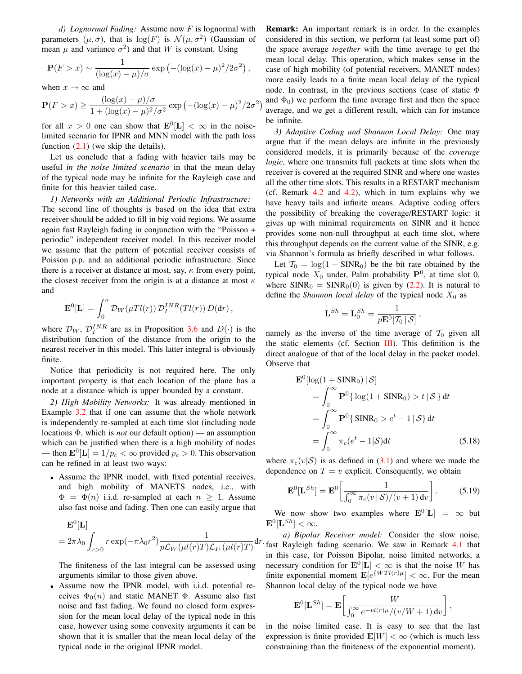*d) Lognormal Fading:* Assume now F is lognormal with parameters  $(\mu, \sigma)$ , that is  $\log(F)$  is  $\mathcal{N}(\mu, \sigma^2)$  (Gaussian of mean  $\mu$  and variance  $\sigma^2$ ) and that W is constant. Using

$$
\mathbf{P}(F > x) \sim \frac{1}{(\log(x) - \mu)/\sigma} \exp\left(-(\log(x) - \mu)^2/2\sigma^2\right),\,
$$

when  $x \to \infty$  and

$$
\mathbf{P}(F > x) \ge \frac{(\log(x) - \mu)/\sigma}{1 + (\log(x) - \mu)^2/\sigma^2} \exp\left(-(\log(x) - \mu)^2/2\sigma^2\right)
$$

 $\big)$ 

for all  $x > 0$  one can show that  $\mathbf{E}^0[\mathbf{L}] < \infty$  in the noiselimited scenario for IPNR and MNN model with the path loss function  $(2.1)$  (we skip the details).

Let us conclude that a fading with heavier tails may be useful *in the noise limited scenario* in that the mean delay of the typical node may be infinite for the Rayleigh case and finite for this heavier tailed case.

*1) Networks with an Additional Periodic Infrastructure:* The second line of thoughts is based on the idea that extra receiver should be added to fill in big void regions. We assume again fast Rayleigh fading in conjunction with the "Poisson + periodic" independent receiver model. In this receiver model we assume that the pattern of potential receiver consists of Poisson p.p. and an additional periodic infrastructure. Since there is a receiver at distance at most, say,  $\kappa$  from every point, the closest receiver from the origin is at a distance at most  $\kappa$ and

$$
\mathbf{E}^0[\mathbf{L}] = \int_0^{\kappa} \mathcal{D}_W(\mu T l(r)) \, \mathcal{D}_I^{INR}(T l(r)) \, D(\mathrm{d}r) \,,
$$

where  $\mathcal{D}_W$ ,  $\mathcal{D}_I^{INR}$  are as in Proposition 3.6 and  $D(\cdot)$  is the distribution function of the distance from the origin to the nearest receiver in this model. This latter integral is obviously finite.

Notice that periodicity is not required here. The only important property is that each location of the plane has a node at a distance which is upper bounded by a constant.

*2) High Mobility Networks:* It was already mentioned in Example 3.2 that if one can assume that the whole network is independently re-sampled at each time slot (including node locations Φ, which is *not* our default option) — an assumption which can be justified when there is a high mobility of nodes — then  $\mathbf{E}^0[\mathbf{L}] = 1/p_c < \infty$  provided  $p_c > 0$ . This observation can be refined in at least two ways:

• Assume the IPNR model, with fixed potential receives, and high mobility of MANETS nodes, i.e., with  $\Phi = \Phi(n)$  i.i.d. re-sampled at each  $n \geq 1$ . Assume also fast noise and fading. Then one can easily argue that

$$
\mathbf{E}^{0}[\mathbf{L}]
$$
  
=  $2\pi\lambda_0 \int_{r>0} r \exp(-\pi\lambda_0 r^2) \frac{1}{p\mathcal{L}_W(\mu l(r)T)\mathcal{L}_{I^1}(\mu l(r)T)} dr$ 

The finiteness of the last integral can be assessed using arguments similar to those given above.

• Assume now the IPNR model, with i.i.d. potential receives  $\Phi_0(n)$  and static MANET  $\Phi$ . Assume also fast noise and fast fading. We found no closed form expression for the mean local delay of the typical node in this case, however using some convexity arguments it can be shown that it is smaller that the mean local delay of the typical node in the original IPNR model.

Remark: An important remark is in order. In the examples considered in this section, we perform (at least some part of) the space average *together* with the time average to get the mean local delay. This operation, which makes sense in the case of high mobility (of potential receivers, MANET nodes) more easily leads to a finite mean local delay of the typical node. In contrast, in the previous sections (case of static Φ and  $\Phi_0$ ) we perform the time average first and then the space average, and we get a different result, which can for instance be infinite.

*3) Adaptive Coding and Shannon Local Delay:* One may argue that if the mean delays are infinite in the previously considered models, it is primarily because of the *coverage logic*, where one transmits full packets at time slots when the receiver is covered at the required SINR and where one wastes all the other time slots. This results in a RESTART mechanism (cf. Remark  $4.2$  and  $4.2$ ), which in turn explains why we have heavy tails and infinite means. Adaptive coding offers the possibility of breaking the coverage/RESTART logic: it gives up with minimal requirements on SINR and it hence provides some non-null throughput at each time slot, where this throughput depends on the current value of the SINR, e.g. via Shannon's formula as briefly described in what follows.

Let  $T_0 = \log(1 + \text{SINR}_0)$  be the bit rate obtained by the typical node  $X_0$  under, Palm probability  $\mathbf{P}^0$ , at time slot 0, where  $SINR_0 = SINR_0(0)$  is given by (2.2). It is natural to define the *Shannon local delay* of the typical node  $X_0$  as

$$
\mathbf{L}^{Sh}=\mathbf{L}^{Sh}_0=\frac{1}{p\mathbf{E}^0[\mathcal{T}_0\,|\,\mathcal{S}]}\,,
$$

namely as the inverse of the time average of  $T_0$  given all the static elements (cf. Section III). This definition is the direct analogue of that of the local delay in the packet model. Observe that

$$
\mathbf{E}^{0}[\log(1 + \text{SINR}_{0}) | \mathcal{S}]
$$
  
=  $\int_{0}^{\infty} \mathbf{P}^{0} {\log(1 + \text{SINR}_{0})} t | \mathcal{S} dt$   
=  $\int_{0}^{\infty} \mathbf{P}^{0} {\text{SINR}_{0} > e^{t} - 1 | \mathcal{S}} dt$   
=  $\int_{0}^{\infty} \pi_{c}(e^{t} - 1 | \mathcal{S}) dt$  (5.18)

where  $\pi_c(v|\mathcal{S})$  is as defined in (3.1) and where we made the dependence on  $T = v$  explicit. Consequently, we obtain

$$
\mathbf{E}^{0}[\mathbf{L}^{Sh}] = \mathbf{E}^{0}\left[\frac{1}{\int_{0}^{\infty} \pi_{c}(v \,|\, \mathcal{S})/(v+1) \,dv}\right].
$$
 (5.19)

We now show two examples where  $\mathbf{E}^0[\mathbf{L}] = \infty$  but  $\mathbf{E}^0[\mathbf{L}^{Sh}]<\infty.$ 

 $\frac{dr}{dt}$  fast Rayleigh fading scenario. We saw in Remark 4.1 that *a) Bipolar Receiver model:* Consider the slow noise, in this case, for Poisson Bipolar, noise limited networks, a necessary condition for  $\mathbf{E}^0[\mathbf{L}] < \infty$  is that the noise W has finite exponential moment  $\mathbf{E}[e^{\{WTl(r) \mu\}}] < \infty$ . For the mean Shannon local delay of the typical node we have

$$
\mathbf{E}^{0}[\mathbf{L}^{Sh}] = \mathbf{E} \left[ \frac{W}{\int_{0}^{\infty} e^{-vl(r)\mu} / (v/W + 1) \, dv} \right],
$$

in the noise limited case. It is easy to see that the last expression is finite provided  $\mathbf{E}[W] < \infty$  (which is much less constraining than the finiteness of the exponential moment).